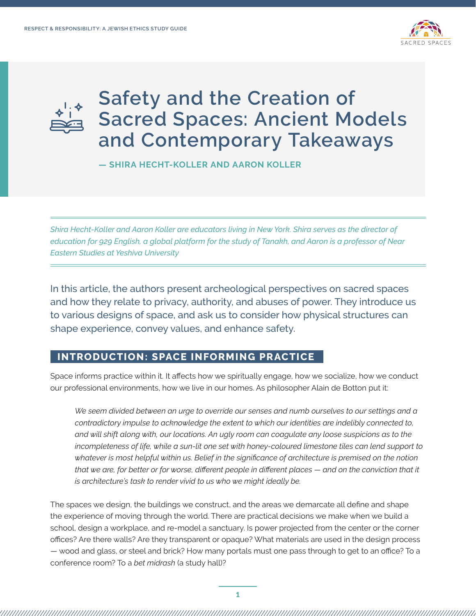



**— SHIRA HECHT-KOLLER AND AARON KOLLER** 

*Shira Hecht-Koller and Aaron Koller are educators living in New York. Shira serves as the director of education for 929 English, a global platform for the study of Tanakh, and Aaron is a professor of Near Eastern Studies at Yeshiva University*

In this article, the authors present archeological perspectives on sacred spaces and how they relate to privacy, authority, and abuses of power. They introduce us to various designs of space, and ask us to consider how physical structures can shape experience, convey values, and enhance safety.

### **INTRODUCTION: SPACE INFORMING PRACTICE**

Space informs practice within it. It affects how we spiritually engage, how we socialize, how we conduct our professional environments, how we live in our homes. As philosopher Alain de Botton put it:

*We seem divided between an urge to override our senses and numb ourselves to our settings and a contradictory impulse to acknowledge the extent to which our identities are indelibly connected to, and will shift along with, our locations. An ugly room can coagulate any loose suspicions as to the incompleteness of life, while a sun-lit one set with honey-coloured limestone tiles can lend support to whatever is most helpful within us. Belief in the significance of architecture is premised on the notion that we are, for better or for worse, different people in different places — and on the conviction that it is architecture's task to render vivid to us who we might ideally be.*

The spaces we design, the buildings we construct, and the areas we demarcate all define and shape the experience of moving through the world. There are practical decisions we make when we build a school, design a workplace, and re-model a sanctuary. Is power projected from the center or the corner offices? Are there walls? Are they transparent or opaque? What materials are used in the design process — wood and glass, or steel and brick? How many portals must one pass through to get to an office? To a conference room? To a *bet midrash* (a study hall)?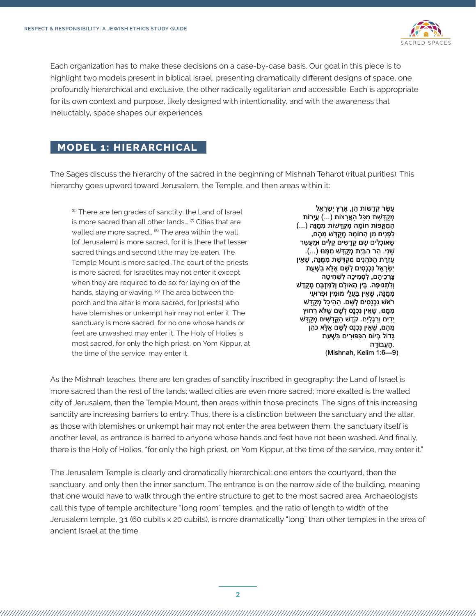

Each organization has to make these decisions on a case-by-case basis. Our goal in this piece is to highlight two models present in biblical Israel, presenting dramatically different designs of space, one profoundly hierarchical and exclusive, the other radically egalitarian and accessible. Each is appropriate for its own context and purpose, likely designed with intentionality, and with the awareness that ineluctably, space shapes our experiences.

#### **MODEL 1: HIERARCHICAL**

The Sages discuss the hierarchy of the sacred in the beginning of Mishnah Teharot (ritual purities). This hierarchy goes upward toward Jerusalem, the Temple, and then areas within it:

(6) There are ten grades of sanctity: the Land of Israel is more sacred than all other lands... (7) Cities that are walled are more sacred...<sup>(8)</sup> The area within the wall [of Jerusalem] is more sacred, for it is there that lesser sacred things and second tithe may be eaten. The Temple Mount is more sacred…The court of the priests is more sacred, for Israelites may not enter it except when they are required to do so: for laying on of the hands, slaying or waving. (9) The area between the porch and the altar is more sacred, for [priests] who have blemishes or unkempt hair may not enter it. The sanctuary is more sacred, for no one whose hands or feet are unwashed may enter it. The Holy of Holies is most sacred, for only the high priest, on Yom Kippur, at the time of the service, may enter it.

עֵשֶׂר קְדֵשׁוֹת הֶן, אֶרֶץ יִשְׂרָאֶל מְקֻדֶּשֶׁת מִכָּל הָאֲרָצוֹת (...) עֲיָרוֹת הַמֶּקֵפוֹת חוֹמַה מְקַדַּשׁוֹת מְמֵנַּה (...) לְפָנִים מִן הַחוֹמַה מְקֵדַשׁ מֵהֶם, שֶׁאוֹכְלִים שַׁם קַדַשִׁים קַלְּים וּמַעֲשֶׂר ֹשֵׁנִי. הַר הַבַּיִת מְקֵדָּשׁ מִמֶּנּוּ (...). עֶזְרַת הַכֹּהֲנִים מְקֻדֶּשֶׁת מִמֶּנָּה, שֶׁאֵין ִישְׂרַאֵל נִכְנָסִים לְשָׁם אֶלֵּא בְשָׁעַת ְצָרְכֵיהֶם, לְסְמִיכָה לְשָׁחִיטָה וְלִתְנוּפָה. בֵּין הָאוּלָם וְלַמְּזְבֵּחַ מְקֻדָּשׁ מִמֵּנַּה, שָׁאֵין בַּעֲלֵי מוּמִין וּפָרוּעֵי ּרֹאשׁ נְכְנַסִים לְשָׁם. הַהֵיכָל מִקְדָּשׁ מִמֶּנּוּ, שֶׁאֵין נִכְנָס לְשָׁם שֶׁלֹּא רְחוּץ יָדִיִם וְרַגְלָיִם. קֹדֶשׁ הַקֱדָשִׁים מְקֻדָּשׁ מֵהֶם, שֶׁאֵין נִכְנָס לְשָׁם אֶלָּא כֹהֵן גַּדוֹל בִּיוֹם הַכְּפּוּרִים בִּשְׁעַת העבודה. (Mishnah, Kelim 1:6-9)

As the Mishnah teaches, there are ten grades of sanctity inscribed in geography: the Land of Israel is more sacred than the rest of the lands; walled cities are even more sacred; more exalted is the walled city of Jerusalem, then the Temple Mount, then areas within those precincts. The signs of this increasing sanctity are increasing barriers to entry. Thus, there is a distinction between the sanctuary and the altar, as those with blemishes or unkempt hair may not enter the area between them; the sanctuary itself is another level, as entrance is barred to anyone whose hands and feet have not been washed. And finally, there is the Holy of Holies, "for only the high priest, on Yom Kippur, at the time of the service, may enter it."

The Jerusalem Temple is clearly and dramatically hierarchical: one enters the courtyard, then the sanctuary, and only then the inner sanctum. The entrance is on the narrow side of the building, meaning that one would have to walk through the entire structure to get to the most sacred area. Archaeologists call this type of temple architecture "long room" temples, and the ratio of length to width of the Jerusalem temple, 3:1 (60 cubits x 20 cubits), is more dramatically "long" than other temples in the area of ancient Israel at the time.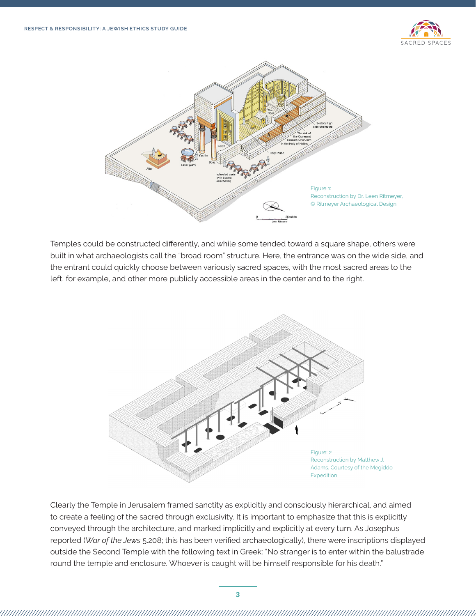



Temples could be constructed differently, and while some tended toward a square shape, others were built in what archaeologists call the "broad room" structure. Here, the entrance was on the wide side, and the entrant could quickly choose between variously sacred spaces, with the most sacred areas to the left, for example, and other more publicly accessible areas in the center and to the right.



Clearly the Temple in Jerusalem framed sanctity as explicitly and consciously hierarchical, and aimed to create a feeling of the sacred through exclusivity. It is important to emphasize that this is explicitly conveyed through the architecture, and marked implicitly and explicitly at every turn. As Josephus reported (*War of the Jews* 5.208; this has been verified archaeologically), there were inscriptions displayed outside the Second Temple with the following text in Greek: "No stranger is to enter within the balustrade round the temple and enclosure. Whoever is caught will be himself responsible for his death."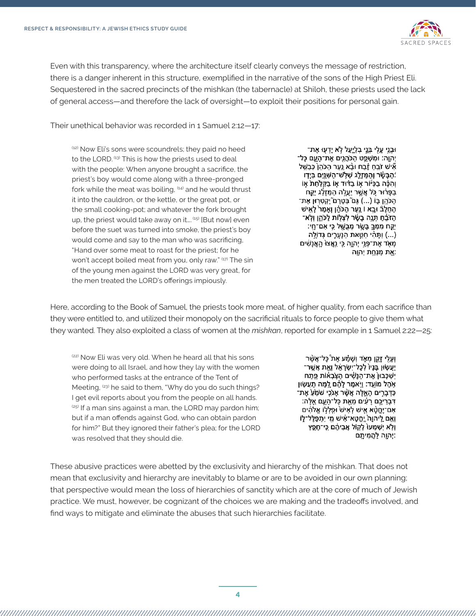

Even with this transparency, where the architecture itself clearly conveys the message of restriction, there is a danger inherent in this structure, exemplified in the narrative of the sons of the High Priest Eli. Sequestered in the sacred precincts of the mishkan (the tabernacle) at Shiloh, these priests used the lack of general access—and therefore the lack of oversight—to exploit their positions for personal gain.

Their unethical behavior was recorded in 1 Samuel 2:12—17:

(12) Now Eli's sons were scoundrels; they paid no heed to the LORD. (13) This is how the priests used to deal with the people: When anyone brought a sacrifice, the priest's boy would come along with a three-pronged fork while the meat was boiling,  $(14)$  and he would thrust it into the cauldron, or the kettle, or the great pot, or the small cooking-pot; and whatever the fork brought up, the priest would take away on it....<sup>(15)</sup> [But now] even before the suet was turned into smoke, the priest's boy would come and say to the man who was sacrificing, "Hand over some meat to roast for the priest; for he won't accept boiled meat from you, only raw." (17) The sin of the young men against the LORD was very great, for the men treated the LORD's offerings impiously.

וּבְנֵי עֵלָי בְּנֵי בְלָיֵעַל לָא יָדְעָוּ אֶת־ יְהוַה: וּמִשְׁפֵּט הַכֹּהֲנִים אֶת־הַעָם כַּל־ אִישׁ זֹבֵחַ זָבַח וּבָ֫א נֵעַר הַכֹּהֵן כְּבַשֵּׁל ֿהַבָּשָׂר וְהַמַּזְלֵג שְׁלָשׁ־הַשָּׁנֵּיִם בְּיֶדְו ּוְהִכָּ֫ה בַכִּיּׁוֹר אָוֹ בַדּוּד אָוֹ בַקַלַחַת אָוֹ ּבַפָּרוּר כָּל אֲשֶׁר יַעֲלֶה הַמַּזְלֵג יֵקֶח ֿהַכֹּהֵן בָּוֹ (...) גַּם בְּטֶרֶם ֿיַקְטְרָוּן אֶת־ הַחֲלֵבٌ וּבֵא l נֵעַר הַכֹּהֵן וְאַמַר לַאִישׁ הַזֹּבֵּׁחַ תְּנֶה בָשָׂר לְצְלֻוֹת לַכֹּהֵן וְלְא־ ִיקַח מִמְּךָ בָּשֶׂר מְבֻשֶּׁל כִּי אִם־חָי: ּ (...) וַתְּהִי חַטֲאת הַנְעֶרֶים גְּדוֹלֶה) מְאָד אֶת־פְּנֵי יְהָוֶה כֵּי נִאֲצוּ הָאֲנָשִׁים :אֶת מִנְחֵת יְהוֵה

Here, according to the Book of Samuel, the priests took more meat, of higher quality, from each sacrifice than they were entitled to, and utilized their monopoly on the sacrificial rituals to force people to give them what they wanted. They also exploited a class of women at the *mishkan*, reported for example in 1 Samuel 2:22—25:

(22) Now Eli was very old. When he heard all that his sons were doing to all Israel, and how they lay with the women who performed tasks at the entrance of the Tent of Meeting, <sup>(23)</sup> he said to them, "Why do you do such things? I get evil reports about you from the people on all hands.  $(25)$  If a man sins against a man, the LORD may pardon him; but if a man offends against God, who can obtain pardon for him?" But they ignored their father's plea; for the LORD was resolved that they should die.

וְעֵלִי זַקֵּן מְאֶד וְשָׁמַ֫ע אֶת כָּל־אֲשֶׁר יַעֲשָׂוּן בָּנָיוֹ לְכָל־יִשְׂרָאֶל וְאֶת אֲשֶׁר־ יַשְׁכָּבוּן אֶת־הַנַּשִׁים הַצְּבָאוֹת פֵתַח אָהֶל מוֹעֵד: וַיִּאמֶר לָהֶם לָמָּה תַעֲשָׂוּן ַכַּדְּבָרִים הָאֱלֶּה אֲשֶׁר אָנֹכִי שֹׁמֵעֵׁ אֶת־ ִדְּבְרֵיכֶם רָעִים מֵאֶת כָּל־הָעֶם אֵלֶה: אִם־יֶחֱטָ֫א אָישׁ לְאִישׁ וּפְלְלָוֹ אֱלֹהִים וְאֶם לַיהוָה יֶחֱטָא־אִישׁ מֻי יִתְפַּלֶּל־לֶוֹ ּוְלָא יִשְׁמְעוּ לְקָוֹל אֲבִיהֶם כִּי־חָפֵץ יִהְוֶה לַהֲמִיתֵם:

These abusive practices were abetted by the exclusivity and hierarchy of the mishkan. That does not mean that exclusivity and hierarchy are inevitably to blame or are to be avoided in our own planning; that perspective would mean the loss of hierarchies of sanctity which are at the core of much of Jewish practice. We must, however, be cognizant of the choices we are making and the tradeoffs involved, and find ways to mitigate and eliminate the abuses that such hierarchies facilitate.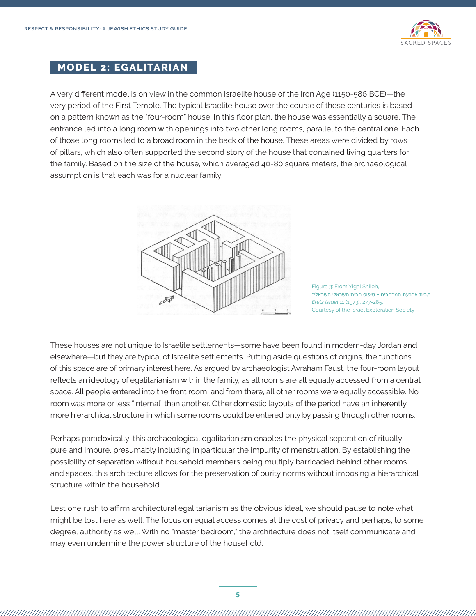

## **MODEL 2: EGALITARIAN**

A very different model is on view in the common Israelite house of the Iron Age (1150-586 BCE)—the very period of the First Temple. The typical Israelite house over the course of these centuries is based on a pattern known as the "four-room" house. In this floor plan, the house was essentially a square. The entrance led into a long room with openings into two other long rooms, parallel to the central one. Each of those long rooms led to a broad room in the back of the house. These areas were divided by rows of pillars, which also often supported the second story of the house that contained living quarters for the family. Based on the size of the house, which averaged 40-80 square meters, the archaeological assumption is that each was for a nuclear family.



Figure 3: From Yigal Shiloh, ",בית ארבעת המרחבים — טיפוס הבית השראלי השראלי" *Eretz Israel* 11 (1973), 277-285. Courtesy of the Israel Exploration Society

These houses are not unique to Israelite settlements—some have been found in modern-day Jordan and elsewhere—but they are typical of Israelite settlements. Putting aside questions of origins, the functions of this space are of primary interest here. As argued by archaeologist Avraham Faust, the four-room layout reflects an ideology of egalitarianism within the family, as all rooms are all equally accessed from a central space. All people entered into the front room, and from there, all other rooms were equally accessible. No room was more or less "internal" than another. Other domestic layouts of the period have an inherently more hierarchical structure in which some rooms could be entered only by passing through other rooms.

Perhaps paradoxically, this archaeological egalitarianism enables the physical separation of ritually pure and impure, presumably including in particular the impurity of menstruation. By establishing the possibility of separation without household members being multiply barricaded behind other rooms and spaces, this architecture allows for the preservation of purity norms without imposing a hierarchical structure within the household.

Lest one rush to affirm architectural egalitarianism as the obvious ideal, we should pause to note what might be lost here as well. The focus on equal access comes at the cost of privacy and perhaps, to some degree, authority as well. With no "master bedroom," the architecture does not itself communicate and may even undermine the power structure of the household.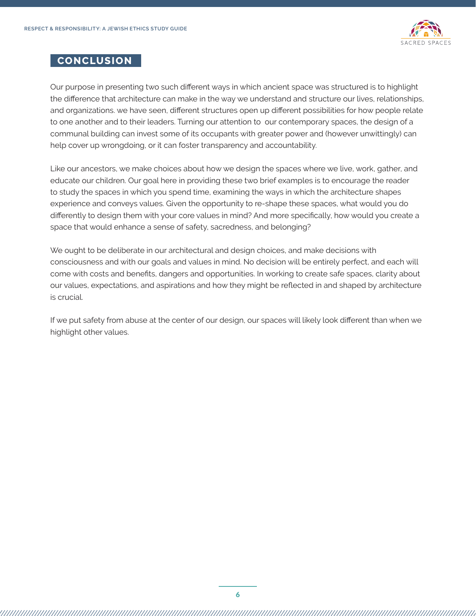

#### **CONCLUSION**

Our purpose in presenting two such different ways in which ancient space was structured is to highlight the difference that architecture can make in the way we understand and structure our lives, relationships, and organizations. we have seen, different structures open up different possibilities for how people relate to one another and to their leaders. Turning our attention to our contemporary spaces, the design of a communal building can invest some of its occupants with greater power and (however unwittingly) can help cover up wrongdoing, or it can foster transparency and accountability.

Like our ancestors, we make choices about how we design the spaces where we live, work, gather, and educate our children. Our goal here in providing these two brief examples is to encourage the reader to study the spaces in which you spend time, examining the ways in which the architecture shapes experience and conveys values. Given the opportunity to re-shape these spaces, what would you do differently to design them with your core values in mind? And more specifically, how would you create a space that would enhance a sense of safety, sacredness, and belonging?

We ought to be deliberate in our architectural and design choices, and make decisions with consciousness and with our goals and values in mind. No decision will be entirely perfect, and each will come with costs and benefits, dangers and opportunities. In working to create safe spaces, clarity about our values, expectations, and aspirations and how they might be reflected in and shaped by architecture is crucial.

If we put safety from abuse at the center of our design, our spaces will likely look different than when we highlight other values.